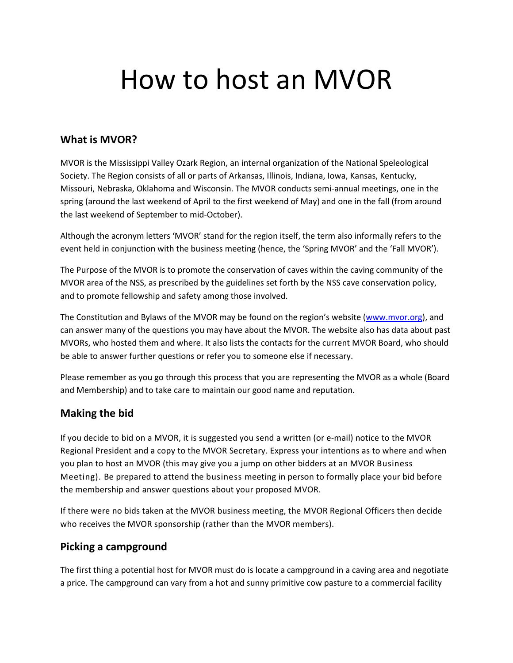# How to host an MVOR

#### What is MVOR?

MVOR is the Mississippi Valley Ozark Region, an internal organization of the National Speleological Society. The Region consists of all or parts of Arkansas, Illinois, Indiana, Iowa, Kansas, Kentucky, Missouri, Nebraska, Oklahoma and Wisconsin. The MVOR conducts semi-annual meetings, one in the spring (around the last weekend of April to the first weekend of May) and one in the fall (from around the last weekend of September to mid-October).

Although the acronym letters 'MVOR' stand for the region itself, the term also informally refers to the event held in conjunction with the business meeting (hence, the 'Spring MVOR' and the 'Fall MVOR').

The Purpose of the MVOR is to promote the conservation of caves within the caving community of the MVOR area of the NSS, as prescribed by the guidelines set forth by the NSS cave conservation policy, and to promote fellowship and safety among those involved.

The Constitution and Bylaws of the MVOR may be found on the region's website (www.mvor.org), and can answer many of the questions you may have about the MVOR. The website also has data about past MVORs, who hosted them and where. It also lists the contacts for the current MVOR Board, who should be able to answer further questions or refer you to someone else if necessary.

Please remember as you go through this process that you are representing the MVOR as a whole (Board and Membership) and to take care to maintain our good name and reputation.

#### Making the bid

If you decide to bid on a MVOR, it is suggested you send a written (or e-mail) notice to the MVOR Regional President and a copy to the MVOR Secretary. Express your intentions as to where and when you plan to host an MVOR (this may give you a jump on other bidders at an MVOR Business Meeting). Be prepared to attend the business meeting in person to formally place your bid before the membership and answer questions about your proposed MVOR.

If there were no bids taken at the MVOR business meeting, the MVOR Regional Officers then decide who receives the MVOR sponsorship (rather than the MVOR members).

#### Picking a campground

The first thing a potential host for MVOR must do is locate a campground in a caving area and negotiate a price. The campground can vary from a hot and sunny primitive cow pasture to a commercial facility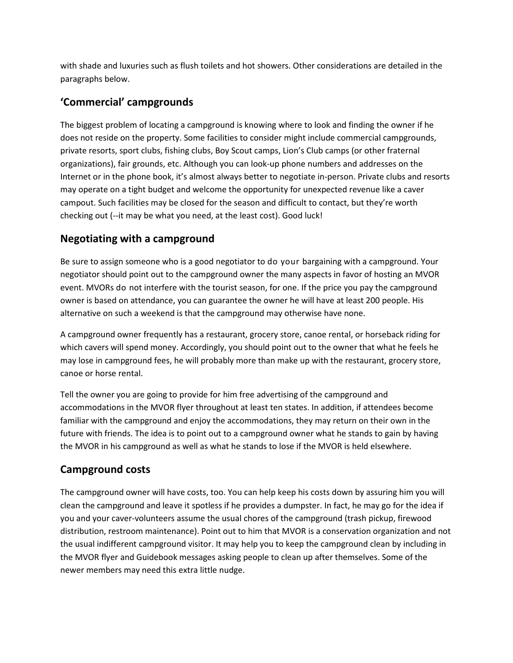with shade and luxuries such as flush toilets and hot showers. Other considerations are detailed in the paragraphs below.

## 'Commercial' campgrounds

The biggest problem of locating a campground is knowing where to look and finding the owner if he does not reside on the property. Some facilities to consider might include commercial campgrounds, private resorts, sport clubs, fishing clubs, Boy Scout camps, Lion's Club camps (or other fraternal organizations), fair grounds, etc. Although you can look-up phone numbers and addresses on the Internet or in the phone book, it's almost always better to negotiate in-person. Private clubs and resorts may operate on a tight budget and welcome the opportunity for unexpected revenue like a caver campout. Such facilities may be closed for the season and difficult to contact, but they're worth checking out (--it may be what you need, at the least cost). Good luck!

#### Negotiating with a campground

Be sure to assign someone who is a good negotiator to do your bargaining with a campground. Your negotiator should point out to the campground owner the many aspects in favor of hosting an MVOR event. MVORs do not interfere with the tourist season, for one. If the price you pay the campground owner is based on attendance, you can guarantee the owner he will have at least 200 people. His alternative on such a weekend is that the campground may otherwise have none.

A campground owner frequently has a restaurant, grocery store, canoe rental, or horseback riding for which cavers will spend money. Accordingly, you should point out to the owner that what he feels he may lose in campground fees, he will probably more than make up with the restaurant, grocery store, canoe or horse rental.

Tell the owner you are going to provide for him free advertising of the campground and accommodations in the MVOR flyer throughout at least ten states. In addition, if attendees become familiar with the campground and enjoy the accommodations, they may return on their own in the future with friends. The idea is to point out to a campground owner what he stands to gain by having the MVOR in his campground as well as what he stands to lose if the MVOR is held elsewhere.

## Campground costs

The campground owner will have costs, too. You can help keep his costs down by assuring him you will clean the campground and leave it spotless if he provides a dumpster. In fact, he may go for the idea if you and your caver-volunteers assume the usual chores of the campground (trash pickup, firewood distribution, restroom maintenance). Point out to him that MVOR is a conservation organization and not the usual indifferent campground visitor. It may help you to keep the campground clean by including in the MVOR flyer and Guidebook messages asking people to clean up after themselves. Some of the newer members may need this extra little nudge.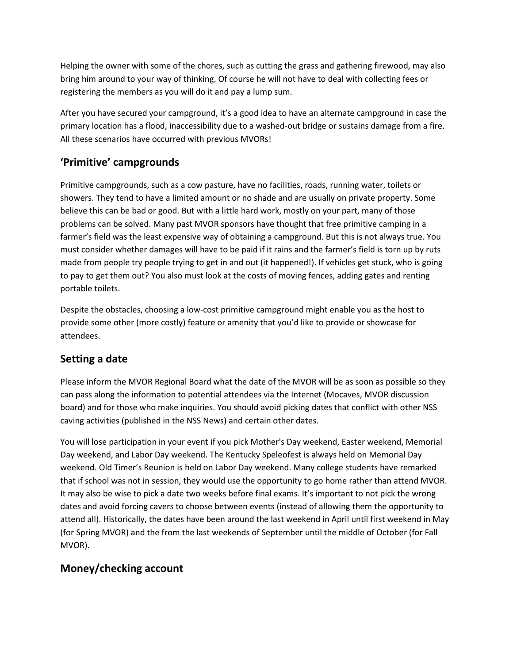Helping the owner with some of the chores, such as cutting the grass and gathering firewood, may also bring him around to your way of thinking. Of course he will not have to deal with collecting fees or registering the members as you will do it and pay a lump sum.

After you have secured your campground, it's a good idea to have an alternate campground in case the primary location has a flood, inaccessibility due to a washed-out bridge or sustains damage from a fire. All these scenarios have occurred with previous MVORs!

# 'Primitive' campgrounds

Primitive campgrounds, such as a cow pasture, have no facilities, roads, running water, toilets or showers. They tend to have a limited amount or no shade and are usually on private property. Some believe this can be bad or good. But with a little hard work, mostly on your part, many of those problems can be solved. Many past MVOR sponsors have thought that free primitive camping in a farmer's field was the least expensive way of obtaining a campground. But this is not always true. You must consider whether damages will have to be paid if it rains and the farmer's field is torn up by ruts made from people try people trying to get in and out (it happened!). If vehicles get stuck, who is going to pay to get them out? You also must look at the costs of moving fences, adding gates and renting portable toilets.

Despite the obstacles, choosing a low-cost primitive campground might enable you as the host to provide some other (more costly) feature or amenity that you'd like to provide or showcase for attendees.

## Setting a date

Please inform the MVOR Regional Board what the date of the MVOR will be as soon as possible so they can pass along the information to potential attendees via the Internet (Mocaves, MVOR discussion board) and for those who make inquiries. You should avoid picking dates that conflict with other NSS caving activities (published in the NSS News) and certain other dates.

You will lose participation in your event if you pick Mother's Day weekend, Easter weekend, Memorial Day weekend, and Labor Day weekend. The Kentucky Speleofest is always held on Memorial Day weekend. Old Timer's Reunion is held on Labor Day weekend. Many college students have remarked that if school was not in session, they would use the opportunity to go home rather than attend MVOR. It may also be wise to pick a date two weeks before final exams. It's important to not pick the wrong dates and avoid forcing cavers to choose between events (instead of allowing them the opportunity to attend all). Historically, the dates have been around the last weekend in April until first weekend in May (for Spring MVOR) and the from the last weekends of September until the middle of October (for Fall MVOR).

# Money/checking account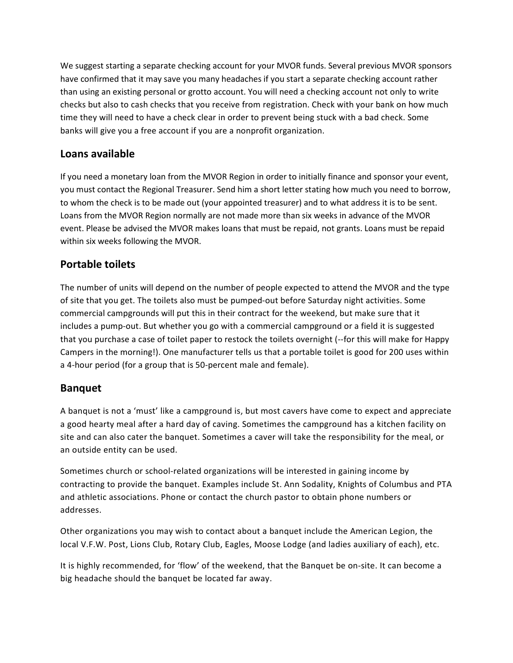We suggest starting a separate checking account for your MVOR funds. Several previous MVOR sponsors have confirmed that it may save you many headaches if you start a separate checking account rather than using an existing personal or grotto account. You will need a checking account not only to write checks but also to cash checks that you receive from registration. Check with your bank on how much time they will need to have a check clear in order to prevent being stuck with a bad check. Some banks will give you a free account if you are a nonprofit organization.

#### Loans available

If you need a monetary loan from the MVOR Region in order to initially finance and sponsor your event, you must contact the Regional Treasurer. Send him a short letter stating how much you need to borrow, to whom the check is to be made out (your appointed treasurer) and to what address it is to be sent. Loans from the MVOR Region normally are not made more than six weeks in advance of the MVOR event. Please be advised the MVOR makes loans that must be repaid, not grants. Loans must be repaid within six weeks following the MVOR.

#### Portable toilets

The number of units will depend on the number of people expected to attend the MVOR and the type of site that you get. The toilets also must be pumped-out before Saturday night activities. Some commercial campgrounds will put this in their contract for the weekend, but make sure that it includes a pump-out. But whether you go with a commercial campground or a field it is suggested that you purchase a case of toilet paper to restock the toilets overnight (--for this will make for Happy Campers in the morning!). One manufacturer tells us that a portable toilet is good for 200 uses within a 4-hour period (for a group that is 50-percent male and female).

#### Banquet

A banquet is not a 'must' like a campground is, but most cavers have come to expect and appreciate a good hearty meal after a hard day of caving. Sometimes the campground has a kitchen facility on site and can also cater the banquet. Sometimes a caver will take the responsibility for the meal, or an outside entity can be used.

Sometimes church or school-related organizations will be interested in gaining income by contracting to provide the banquet. Examples include St. Ann Sodality, Knights of Columbus and PTA and athletic associations. Phone or contact the church pastor to obtain phone numbers or addresses.

Other organizations you may wish to contact about a banquet include the American Legion, the local V.F.W. Post, Lions Club, Rotary Club, Eagles, Moose Lodge (and ladies auxiliary of each), etc.

It is highly recommended, for 'flow' of the weekend, that the Banquet be on-site. It can become a big headache should the banquet be located far away.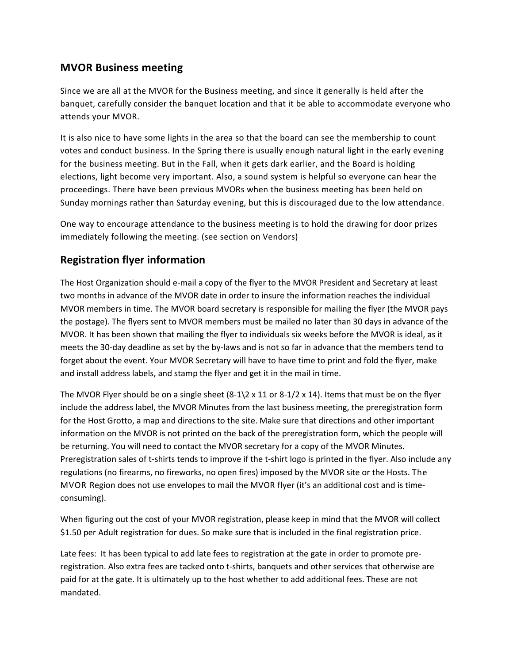#### MVOR Business meeting

Since we are all at the MVOR for the Business meeting, and since it generally is held after the banquet, carefully consider the banquet location and that it be able to accommodate everyone who attends your MVOR.

It is also nice to have some lights in the area so that the board can see the membership to count votes and conduct business. In the Spring there is usually enough natural light in the early evening for the business meeting. But in the Fall, when it gets dark earlier, and the Board is holding elections, light become very important. Also, a sound system is helpful so everyone can hear the proceedings. There have been previous MVORs when the business meeting has been held on Sunday mornings rather than Saturday evening, but this is discouraged due to the low attendance.

One way to encourage attendance to the business meeting is to hold the drawing for door prizes immediately following the meeting. (see section on Vendors)

#### Registration flyer information

The Host Organization should e-mail a copy of the flyer to the MVOR President and Secretary at least two months in advance of the MVOR date in order to insure the information reaches the individual MVOR members in time. The MVOR board secretary is responsible for mailing the flyer (the MVOR pays the postage). The flyers sent to MVOR members must be mailed no later than 30 days in advance of the MVOR. It has been shown that mailing the flyer to individuals six weeks before the MVOR is ideal, as it meets the 30-day deadline as set by the by-laws and is not so far in advance that the members tend to forget about the event. Your MVOR Secretary will have to have time to print and fold the flyer, make and install address labels, and stamp the flyer and get it in the mail in time.

The MVOR Flyer should be on a single sheet  $(8-1)2 \times 11$  or  $8-1/2 \times 14$ ). Items that must be on the flyer include the address label, the MVOR Minutes from the last business meeting, the preregistration form for the Host Grotto, a map and directions to the site. Make sure that directions and other important information on the MVOR is not printed on the back of the preregistration form, which the people will be returning. You will need to contact the MVOR secretary for a copy of the MVOR Minutes. Preregistration sales of t-shirts tends to improve if the t-shirt logo is printed in the flyer. Also include any regulations (no firearms, no fireworks, no open fires) imposed by the MVOR site or the Hosts. The MVOR Region does not use envelopes to mail the MVOR flyer (it's an additional cost and is timeconsuming).

When figuring out the cost of your MVOR registration, please keep in mind that the MVOR will collect \$1.50 per Adult registration for dues. So make sure that is included in the final registration price.

Late fees: It has been typical to add late fees to registration at the gate in order to promote preregistration. Also extra fees are tacked onto t-shirts, banquets and other services that otherwise are paid for at the gate. It is ultimately up to the host whether to add additional fees. These are not mandated.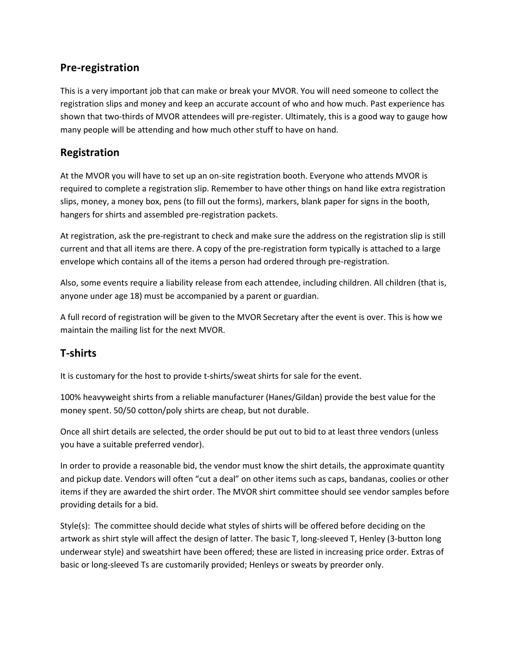## Pre-registration

This is a very important job that can make or break your MVOR. You will need someone to collect the registration slips and money and keep an accurate account of who and how much. Past experience has shown that two-thirds of MVOR attendees will pre-register. Ultimately, this is a good way to gauge how many people will be attending and how much other stuff to have on hand.

#### Registration

At the MVOR you will have to set up an on-site registration booth. Everyone who attends MVOR is required to complete a registration slip. Remember to have other things on hand like extra registration slips, money, a money box, pens (to fill out the forms), markers, blank paper for signs in the booth, hangers for shirts and assembled pre-registration packets.

At registration, ask the pre-registrant to check and make sure the address on the registration slip is still current and that all items are there. A copy of the pre-registration form typically is attached to a large envelope which contains all of the items a person had ordered through pre-registration.

Also, some events require a liability release from each attendee, including children. All children (that is, anyone under age 18) must be accompanied by a parent or guardian.

A full record of registration will be given to the MVOR Secretary after the event is over. This is how we maintain the mailing list for the next MVOR.

## T-shirts

It is customary for the host to provide t-shirts/sweat shirts for sale for the event.

100% heavyweight shirts from a reliable manufacturer (Hanes/Gildan) provide the best value for the money spent. 50/50 cotton/poly shirts are cheap, but not durable.

Once all shirt details are selected, the order should be put out to bid to at least three vendors (unless you have a suitable preferred vendor).

In order to provide a reasonable bid, the vendor must know the shirt details, the approximate quantity and pickup date. Vendors will often "cut a deal" on other items such as caps, bandanas, coolies or other items if they are awarded the shirt order. The MVOR shirt committee should see vendor samples before providing details for a bid.

Style(s): The committee should decide what styles of shirts will be offered before deciding on the artwork as shirt style will affect the design of latter. The basic T, long-sleeved T, Henley (3-button long underwear style) and sweatshirt have been offered; these are listed in increasing price order. Extras of basic or long-sleeved Ts are customarily provided; Henleys or sweats by preorder only.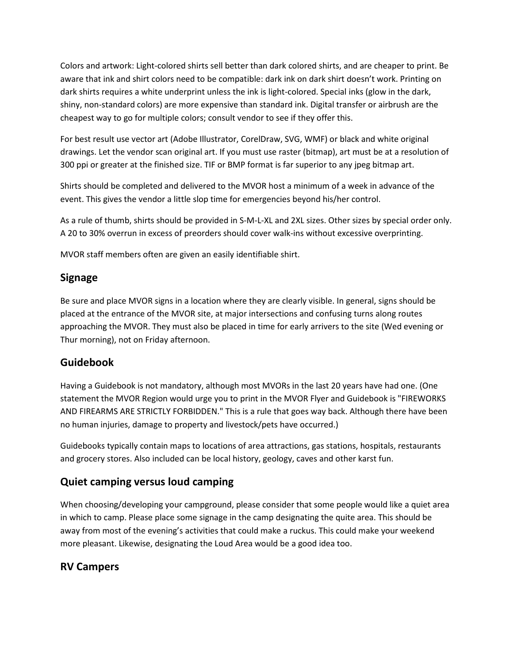Colors and artwork: Light-colored shirts sell better than dark colored shirts, and are cheaper to print. Be aware that ink and shirt colors need to be compatible: dark ink on dark shirt doesn't work. Printing on dark shirts requires a white underprint unless the ink is light-colored. Special inks (glow in the dark, shiny, non-standard colors) are more expensive than standard ink. Digital transfer or airbrush are the cheapest way to go for multiple colors; consult vendor to see if they offer this.

For best result use vector art (Adobe Illustrator, CorelDraw, SVG, WMF) or black and white original drawings. Let the vendor scan original art. If you must use raster (bitmap), art must be at a resolution of 300 ppi or greater at the finished size. TIF or BMP format is far superior to any jpeg bitmap art.

Shirts should be completed and delivered to the MVOR host a minimum of a week in advance of the event. This gives the vendor a little slop time for emergencies beyond his/her control.

As a rule of thumb, shirts should be provided in S-M-L-XL and 2XL sizes. Other sizes by special order only. A 20 to 30% overrun in excess of preorders should cover walk-ins without excessive overprinting.

MVOR staff members often are given an easily identifiable shirt.

## Signage

Be sure and place MVOR signs in a location where they are clearly visible. In general, signs should be placed at the entrance of the MVOR site, at major intersections and confusing turns along routes approaching the MVOR. They must also be placed in time for early arrivers to the site (Wed evening or Thur morning), not on Friday afternoon.

## Guidebook

Having a Guidebook is not mandatory, although most MVORs in the last 20 years have had one. (One statement the MVOR Region would urge you to print in the MVOR Flyer and Guidebook is "FIREWORKS AND FIREARMS ARE STRICTLY FORBIDDEN." This is a rule that goes way back. Although there have been no human injuries, damage to property and livestock/pets have occurred.)

Guidebooks typically contain maps to locations of area attractions, gas stations, hospitals, restaurants and grocery stores. Also included can be local history, geology, caves and other karst fun.

## Quiet camping versus loud camping

When choosing/developing your campground, please consider that some people would like a quiet area in which to camp. Please place some signage in the camp designating the quite area. This should be away from most of the evening's activities that could make a ruckus. This could make your weekend more pleasant. Likewise, designating the Loud Area would be a good idea too.

## RV Campers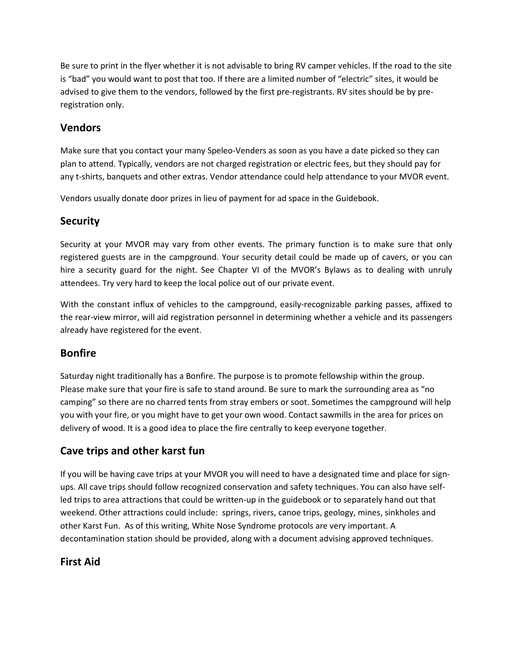Be sure to print in the flyer whether it is not advisable to bring RV camper vehicles. If the road to the site is "bad" you would want to post that too. If there are a limited number of "electric" sites, it would be advised to give them to the vendors, followed by the first pre-registrants. RV sites should be by preregistration only.

#### Vendors

Make sure that you contact your many Speleo-Venders as soon as you have a date picked so they can plan to attend. Typically, vendors are not charged registration or electric fees, but they should pay for any t-shirts, banquets and other extras. Vendor attendance could help attendance to your MVOR event.

Vendors usually donate door prizes in lieu of payment for ad space in the Guidebook.

#### **Security**

Security at your MVOR may vary from other events. The primary function is to make sure that only registered guests are in the campground. Your security detail could be made up of cavers, or you can hire a security guard for the night. See Chapter VI of the MVOR's Bylaws as to dealing with unruly attendees. Try very hard to keep the local police out of our private event.

With the constant influx of vehicles to the campground, easily-recognizable parking passes, affixed to the rear-view mirror, will aid registration personnel in determining whether a vehicle and its passengers already have registered for the event.

#### Bonfire

Saturday night traditionally has a Bonfire. The purpose is to promote fellowship within the group. Please make sure that your fire is safe to stand around. Be sure to mark the surrounding area as "no camping" so there are no charred tents from stray embers or soot. Sometimes the campground will help you with your fire, or you might have to get your own wood. Contact sawmills in the area for prices on delivery of wood. It is a good idea to place the fire centrally to keep everyone together.

## Cave trips and other karst fun

If you will be having cave trips at your MVOR you will need to have a designated time and place for signups. All cave trips should follow recognized conservation and safety techniques. You can also have selfled trips to area attractions that could be written-up in the guidebook or to separately hand out that weekend. Other attractions could include: springs, rivers, canoe trips, geology, mines, sinkholes and other Karst Fun. As of this writing, White Nose Syndrome protocols are very important. A decontamination station should be provided, along with a document advising approved techniques.

## First Aid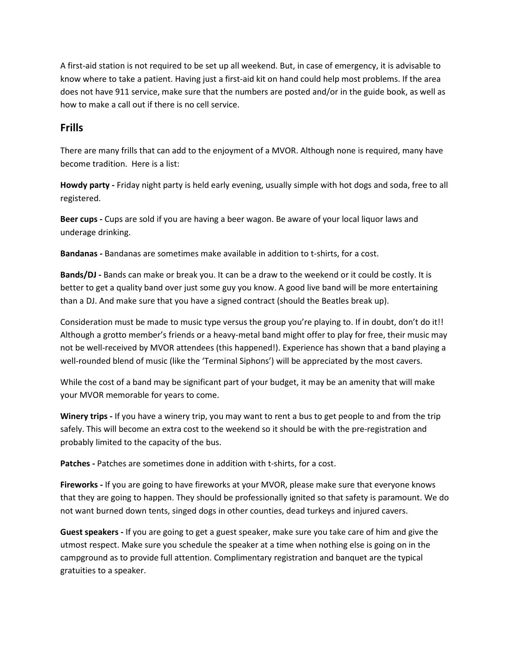A first-aid station is not required to be set up all weekend. But, in case of emergency, it is advisable to know where to take a patient. Having just a first-aid kit on hand could help most problems. If the area does not have 911 service, make sure that the numbers are posted and/or in the guide book, as well as how to make a call out if there is no cell service.

#### Frills

There are many frills that can add to the enjoyment of a MVOR. Although none is required, many have become tradition. Here is a list:

Howdy party - Friday night party is held early evening, usually simple with hot dogs and soda, free to all registered.

Beer cups - Cups are sold if you are having a beer wagon. Be aware of your local liquor laws and underage drinking.

Bandanas - Bandanas are sometimes make available in addition to t-shirts, for a cost.

Bands/DJ - Bands can make or break you. It can be a draw to the weekend or it could be costly. It is better to get a quality band over just some guy you know. A good live band will be more entertaining than a DJ. And make sure that you have a signed contract (should the Beatles break up).

Consideration must be made to music type versus the group you're playing to. If in doubt, don't do it!! Although a grotto member's friends or a heavy-metal band might offer to play for free, their music may not be well-received by MVOR attendees (this happened!). Experience has shown that a band playing a well-rounded blend of music (like the 'Terminal Siphons') will be appreciated by the most cavers.

While the cost of a band may be significant part of your budget, it may be an amenity that will make your MVOR memorable for years to come.

Winery trips - If you have a winery trip, you may want to rent a bus to get people to and from the trip safely. This will become an extra cost to the weekend so it should be with the pre-registration and probably limited to the capacity of the bus.

Patches - Patches are sometimes done in addition with t-shirts, for a cost.

Fireworks - If you are going to have fireworks at your MVOR, please make sure that everyone knows that they are going to happen. They should be professionally ignited so that safety is paramount. We do not want burned down tents, singed dogs in other counties, dead turkeys and injured cavers.

Guest speakers - If you are going to get a guest speaker, make sure you take care of him and give the utmost respect. Make sure you schedule the speaker at a time when nothing else is going on in the campground as to provide full attention. Complimentary registration and banquet are the typical gratuities to a speaker.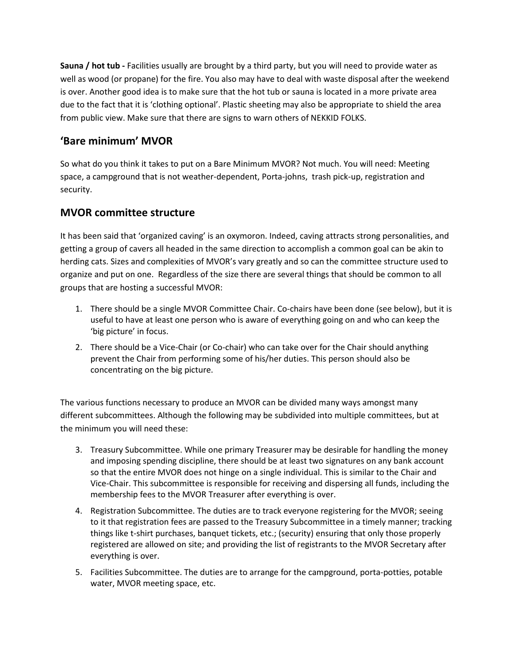Sauna / hot tub - Facilities usually are brought by a third party, but you will need to provide water as well as wood (or propane) for the fire. You also may have to deal with waste disposal after the weekend is over. Another good idea is to make sure that the hot tub or sauna is located in a more private area due to the fact that it is 'clothing optional'. Plastic sheeting may also be appropriate to shield the area from public view. Make sure that there are signs to warn others of NEKKID FOLKS.

#### 'Bare minimum' MVOR

So what do you think it takes to put on a Bare Minimum MVOR? Not much. You will need: Meeting space, a campground that is not weather-dependent, Porta-johns, trash pick-up, registration and security.

## MVOR committee structure

It has been said that 'organized caving' is an oxymoron. Indeed, caving attracts strong personalities, and getting a group of cavers all headed in the same direction to accomplish a common goal can be akin to herding cats. Sizes and complexities of MVOR's vary greatly and so can the committee structure used to organize and put on one. Regardless of the size there are several things that should be common to all groups that are hosting a successful MVOR:

- 1. There should be a single MVOR Committee Chair. Co-chairs have been done (see below), but it is useful to have at least one person who is aware of everything going on and who can keep the 'big picture' in focus.
- 2. There should be a Vice-Chair (or Co-chair) who can take over for the Chair should anything prevent the Chair from performing some of his/her duties. This person should also be concentrating on the big picture.

The various functions necessary to produce an MVOR can be divided many ways amongst many different subcommittees. Although the following may be subdivided into multiple committees, but at the minimum you will need these:

- 3. Treasury Subcommittee. While one primary Treasurer may be desirable for handling the money and imposing spending discipline, there should be at least two signatures on any bank account so that the entire MVOR does not hinge on a single individual. This is similar to the Chair and Vice-Chair. This subcommittee is responsible for receiving and dispersing all funds, including the membership fees to the MVOR Treasurer after everything is over.
- 4. Registration Subcommittee. The duties are to track everyone registering for the MVOR; seeing to it that registration fees are passed to the Treasury Subcommittee in a timely manner; tracking things like t-shirt purchases, banquet tickets, etc.; (security) ensuring that only those properly registered are allowed on site; and providing the list of registrants to the MVOR Secretary after everything is over.
- 5. Facilities Subcommittee. The duties are to arrange for the campground, porta-potties, potable water, MVOR meeting space, etc.